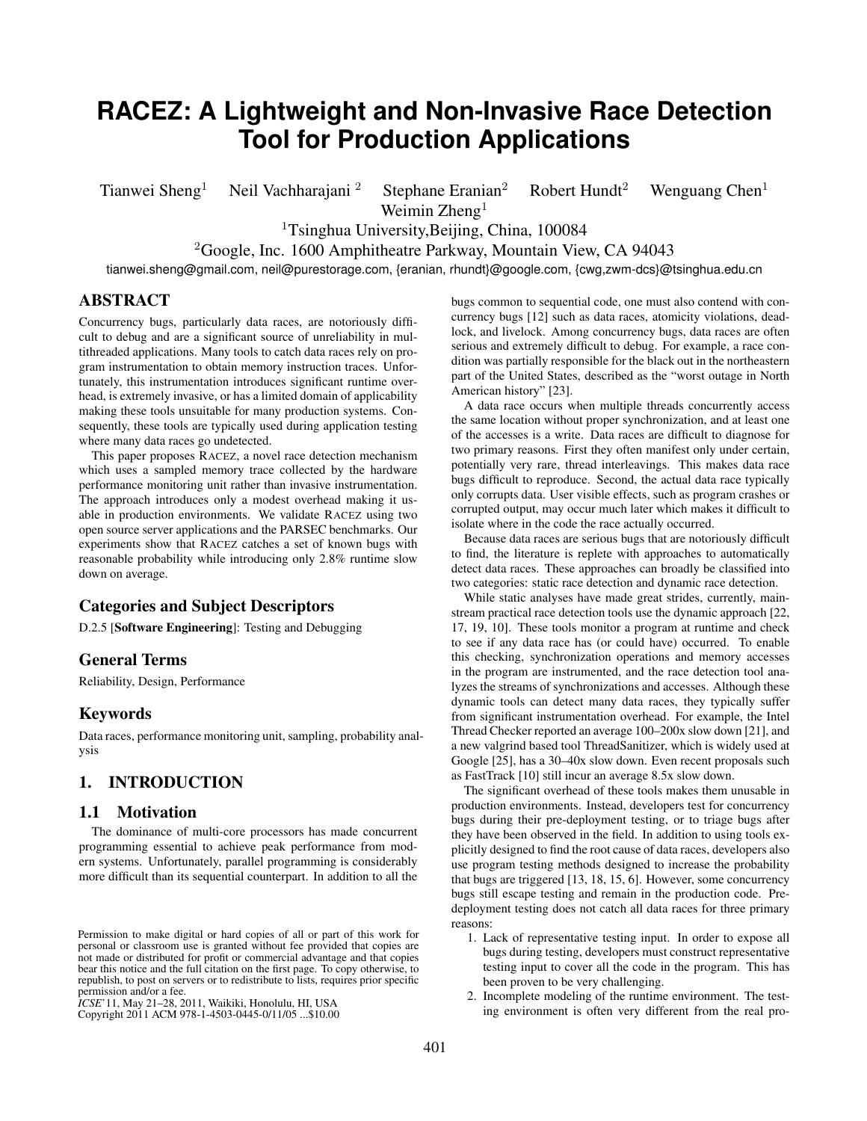# **RACEZ: A Lightweight and Non-Invasive Race Detection Tool for Production Applications**

Tianwei Sheng<sup>1</sup> Neil Vachharajani <sup>2</sup> Stephane Eranian<sup>2</sup> Robert Hundt<sup>2</sup> Wenguang Chen<sup>1</sup> Weimin Zheng<sup>1</sup>

<sup>1</sup>Tsinghua University, Beijing, China, 100084

<sup>2</sup>Google, Inc. 1600 Amphitheatre Parkway, Mountain View, CA 94043

tianwei.sheng@gmail.com, neil@purestorage.com, {eranian, rhundt}@google.com, {cwg,zwm-dcs}@tsinghua.edu.cn

# ABSTRACT

Concurrency bugs, particularly data races, are notoriously difficult to debug and are a significant source of unreliability in multithreaded applications. Many tools to catch data races rely on program instrumentation to obtain memory instruction traces. Unfortunately, this instrumentation introduces significant runtime overhead, is extremely invasive, or has a limited domain of applicability making these tools unsuitable for many production systems. Consequently, these tools are typically used during application testing where many data races go undetected.

This paper proposes RACEZ, a novel race detection mechanism which uses a sampled memory trace collected by the hardware performance monitoring unit rather than invasive instrumentation. The approach introduces only a modest overhead making it usable in production environments. We validate RACEZ using two open source server applications and the PARSEC benchmarks. Our experiments show that RACEZ catches a set of known bugs with reasonable probability while introducing only 2.8% runtime slow down on average.

# Categories and Subject Descriptors

D.2.5 [Software Engineering]: Testing and Debugging

#### General Terms

Reliability, Design, Performance

#### Keywords

Data races, performance monitoring unit, sampling, probability analysis

# 1. INTRODUCTION

## 1.1 Motivation

The dominance of multi-core processors has made concurrent programming essential to achieve peak performance from modern systems. Unfortunately, parallel programming is considerably more difficult than its sequential counterpart. In addition to all the

Copyright 2011 ACM 978-1-4503-0445-0/11/05 ...\$10.00. Copyright 2011 ACM 978-1-4503-0445-0/11/05 ...\$10.00

bugs common to sequential code, one must also contend with concurrency bugs [12] such as data races, atomicity violations, deadlock, and livelock. Among concurrency bugs, data races are often serious and extremely difficult to debug. For example, a race condition was partially responsible for the black out in the northeastern part of the United States, described as the "worst outage in North American history" [23].

A data race occurs when multiple threads concurrently access the same location without proper synchronization, and at least one of the accesses is a write. Data races are difficult to diagnose for two primary reasons. First they often manifest only under certain, potentially very rare, thread interleavings. This makes data race bugs difficult to reproduce. Second, the actual data race typically only corrupts data. User visible effects, such as program crashes or corrupted output, may occur much later which makes it difficult to isolate where in the code the race actually occurred.

Because data races are serious bugs that are notoriously difficult to find, the literature is replete with approaches to automatically detect data races. These approaches can broadly be classified into two categories: static race detection and dynamic race detection.

While static analyses have made great strides, currently, mainstream practical race detection tools use the dynamic approach [22, 17, 19, 10]. These tools monitor a program at runtime and check to see if any data race has (or could have) occurred. To enable this checking, synchronization operations and memory accesses in the program are instrumented, and the race detection tool analyzes the streams of synchronizations and accesses. Although these dynamic tools can detect many data races, they typically suffer from significant instrumentation overhead. For example, the Intel Thread Checker reported an average 100–200x slow down [21], and a new valgrind based tool ThreadSanitizer, which is widely used at Google [25], has a 30–40x slow down. Even recent proposals such as FastTrack [10] still incur an average 8.5x slow down.

The significant overhead of these tools makes them unusable in production environments. Instead, developers test for concurrency bugs during their pre-deployment testing, or to triage bugs after they have been observed in the field. In addition to using tools explicitly designed to find the root cause of data races, developers also use program testing methods designed to increase the probability that bugs are triggered [13, 18, 15, 6]. However, some concurrency bugs still escape testing and remain in the production code. Predeployment testing does not catch all data races for three primary reasons:

- 1. Lack of representative testing input. In order to expose all bugs during testing, developers must construct representative testing input to cover all the code in the program. This has been proven to be very challenging.
- 2. Incomplete modeling of the runtime environment. The testing environment is often very different from the real pro-

Permission to make digital or hard copies of all or part of this work for Permission to make digital or hard copies of all or part of this work for personal or classroom use is granted without fee provided that copies are personal or classroom use is granted without fee provided that copies are not made or distributed for profit or commercial advantage and that copies not made or distributed for profit or commercial advantage and that copies bear this notice and the full citation on the first page. To copy otherwise, to bear this notice and the full citation on the first page. To copy otherwise, to republish, to post on servers or to redistribute to lists, requires prior specific republish, to post on servers or to redistribute to lists, requires prior specific permission and/or a fee.

*ICSE'* 11, May 21–28, 2011, Waikiki, Honolulu, HI, U permission and/or a fee. *ICSE*'11, May 21–28, 2011, Waikiki, Honolulu, HI, USA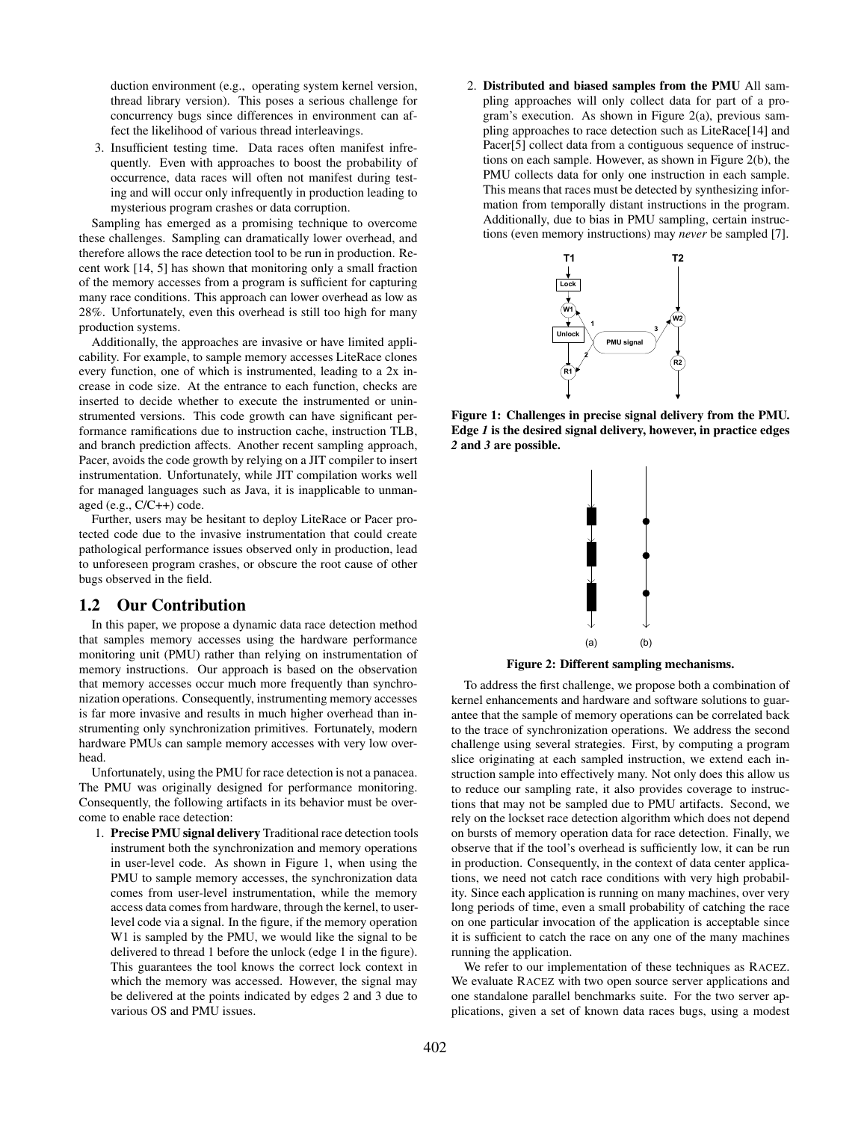duction environment (e.g., operating system kernel version, thread library version). This poses a serious challenge for concurrency bugs since differences in environment can affect the likelihood of various thread interleavings.

3. Insufficient testing time. Data races often manifest infrequently. Even with approaches to boost the probability of occurrence, data races will often not manifest during testing and will occur only infrequently in production leading to mysterious program crashes or data corruption.

Sampling has emerged as a promising technique to overcome these challenges. Sampling can dramatically lower overhead, and therefore allows the race detection tool to be run in production. Recent work [14, 5] has shown that monitoring only a small fraction of the memory accesses from a program is sufficient for capturing many race conditions. This approach can lower overhead as low as 28%. Unfortunately, even this overhead is still too high for many production systems.

Additionally, the approaches are invasive or have limited applicability. For example, to sample memory accesses LiteRace clones every function, one of which is instrumented, leading to a 2x increase in code size. At the entrance to each function, checks are inserted to decide whether to execute the instrumented or uninstrumented versions. This code growth can have significant performance ramifications due to instruction cache, instruction TLB, and branch prediction affects. Another recent sampling approach, Pacer, avoids the code growth by relying on a JIT compiler to insert instrumentation. Unfortunately, while JIT compilation works well for managed languages such as Java, it is inapplicable to unmanaged (e.g., C/C++) code.

Further, users may be hesitant to deploy LiteRace or Pacer protected code due to the invasive instrumentation that could create pathological performance issues observed only in production, lead to unforeseen program crashes, or obscure the root cause of other bugs observed in the field.

#### 1.2 Our Contribution

In this paper, we propose a dynamic data race detection method that samples memory accesses using the hardware performance monitoring unit (PMU) rather than relying on instrumentation of memory instructions. Our approach is based on the observation that memory accesses occur much more frequently than synchronization operations. Consequently, instrumenting memory accesses is far more invasive and results in much higher overhead than instrumenting only synchronization primitives. Fortunately, modern hardware PMUs can sample memory accesses with very low overhead.

Unfortunately, using the PMU for race detection is not a panacea. The PMU was originally designed for performance monitoring. Consequently, the following artifacts in its behavior must be overcome to enable race detection:

1. Precise PMU signal delivery Traditional race detection tools instrument both the synchronization and memory operations in user-level code. As shown in Figure 1, when using the PMU to sample memory accesses, the synchronization data comes from user-level instrumentation, while the memory access data comes from hardware, through the kernel, to userlevel code via a signal. In the figure, if the memory operation W1 is sampled by the PMU, we would like the signal to be delivered to thread 1 before the unlock (edge 1 in the figure). This guarantees the tool knows the correct lock context in which the memory was accessed. However, the signal may be delivered at the points indicated by edges 2 and 3 due to various OS and PMU issues.

2. Distributed and biased samples from the PMU All sampling approaches will only collect data for part of a program's execution. As shown in Figure 2(a), previous sampling approaches to race detection such as LiteRace[14] and Pacer<sup>[5]</sup> collect data from a contiguous sequence of instructions on each sample. However, as shown in Figure 2(b), the PMU collects data for only one instruction in each sample. This means that races must be detected by synthesizing information from temporally distant instructions in the program. Additionally, due to bias in PMU sampling, certain instructions (even memory instructions) may *never* be sampled [7].



Figure 1: Challenges in precise signal delivery from the PMU. Edge *1* is the desired signal delivery, however, in practice edges *2* and *3* are possible.



Figure 2: Different sampling mechanisms.

To address the first challenge, we propose both a combination of kernel enhancements and hardware and software solutions to guarantee that the sample of memory operations can be correlated back to the trace of synchronization operations. We address the second challenge using several strategies. First, by computing a program slice originating at each sampled instruction, we extend each instruction sample into effectively many. Not only does this allow us to reduce our sampling rate, it also provides coverage to instructions that may not be sampled due to PMU artifacts. Second, we rely on the lockset race detection algorithm which does not depend on bursts of memory operation data for race detection. Finally, we observe that if the tool's overhead is sufficiently low, it can be run in production. Consequently, in the context of data center applications, we need not catch race conditions with very high probability. Since each application is running on many machines, over very long periods of time, even a small probability of catching the race on one particular invocation of the application is acceptable since it is sufficient to catch the race on any one of the many machines running the application.

We refer to our implementation of these techniques as RACEZ. We evaluate RACEZ with two open source server applications and one standalone parallel benchmarks suite. For the two server applications, given a set of known data races bugs, using a modest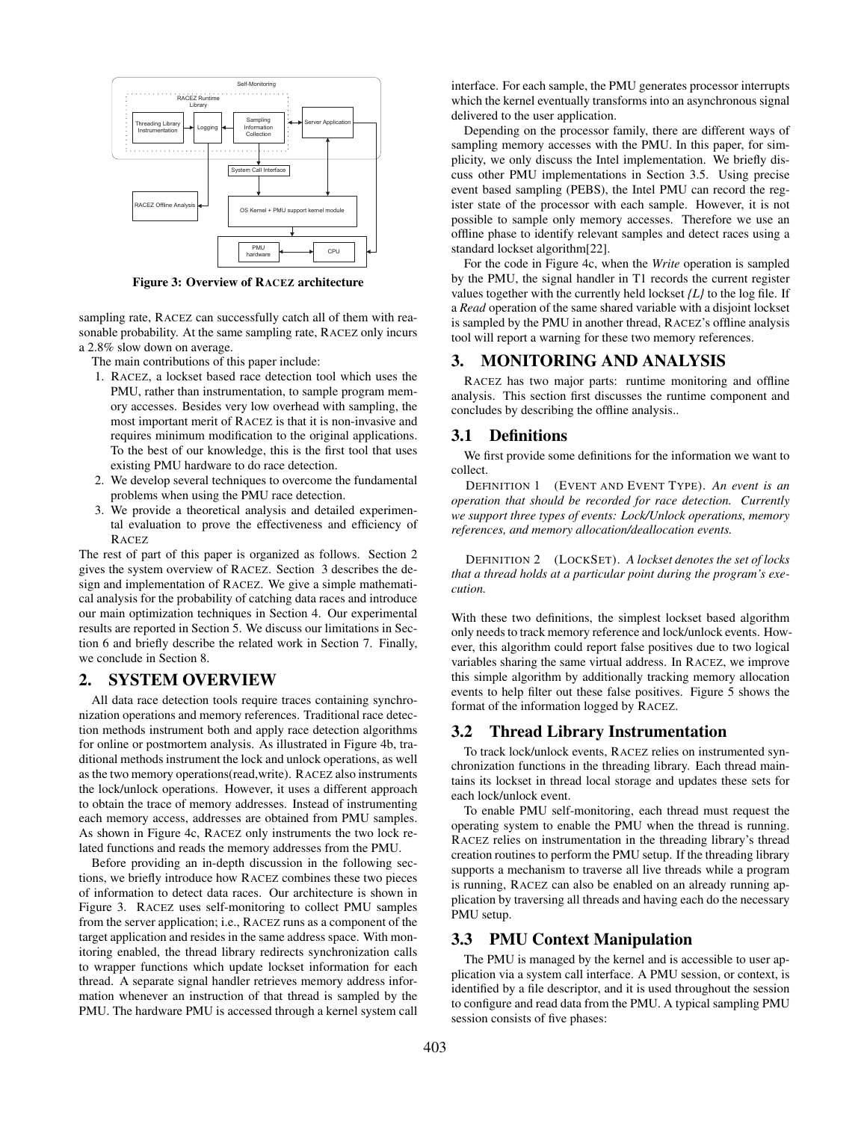

Figure 3: Overview of RACEZ architecture

sampling rate, RACEZ can successfully catch all of them with reasonable probability. At the same sampling rate, RACEZ only incurs a 2.8% slow down on average.

The main contributions of this paper include:

- 1. RACEZ, a lockset based race detection tool which uses the PMU, rather than instrumentation, to sample program memory accesses. Besides very low overhead with sampling, the most important merit of RACEZ is that it is non-invasive and requires minimum modification to the original applications. To the best of our knowledge, this is the first tool that uses existing PMU hardware to do race detection.
- 2. We develop several techniques to overcome the fundamental problems when using the PMU race detection.
- 3. We provide a theoretical analysis and detailed experimental evaluation to prove the effectiveness and efficiency of RACEZ

The rest of part of this paper is organized as follows. Section 2 gives the system overview of RACEZ. Section 3 describes the design and implementation of RACEZ. We give a simple mathematical analysis for the probability of catching data races and introduce our main optimization techniques in Section 4. Our experimental results are reported in Section 5. We discuss our limitations in Section 6 and briefly describe the related work in Section 7. Finally, we conclude in Section 8.

#### 2. SYSTEM OVERVIEW

All data race detection tools require traces containing synchronization operations and memory references. Traditional race detection methods instrument both and apply race detection algorithms for online or postmortem analysis. As illustrated in Figure 4b, traditional methods instrument the lock and unlock operations, as well as the two memory operations(read,write). RACEZ also instruments the lock/unlock operations. However, it uses a different approach to obtain the trace of memory addresses. Instead of instrumenting each memory access, addresses are obtained from PMU samples. As shown in Figure 4c, RACEZ only instruments the two lock related functions and reads the memory addresses from the PMU.

Before providing an in-depth discussion in the following sections, we briefly introduce how RACEZ combines these two pieces of information to detect data races. Our architecture is shown in Figure 3. RACEZ uses self-monitoring to collect PMU samples from the server application; i.e., RACEZ runs as a component of the target application and resides in the same address space. With monitoring enabled, the thread library redirects synchronization calls to wrapper functions which update lockset information for each thread. A separate signal handler retrieves memory address information whenever an instruction of that thread is sampled by the PMU. The hardware PMU is accessed through a kernel system call

interface. For each sample, the PMU generates processor interrupts which the kernel eventually transforms into an asynchronous signal delivered to the user application.

Depending on the processor family, there are different ways of sampling memory accesses with the PMU. In this paper, for simplicity, we only discuss the Intel implementation. We briefly discuss other PMU implementations in Section 3.5. Using precise event based sampling (PEBS), the Intel PMU can record the register state of the processor with each sample. However, it is not possible to sample only memory accesses. Therefore we use an offline phase to identify relevant samples and detect races using a standard lockset algorithm[22].

For the code in Figure 4c, when the *Write* operation is sampled by the PMU, the signal handler in T1 records the current register values together with the currently held lockset *{L}* to the log file. If a *Read* operation of the same shared variable with a disjoint lockset is sampled by the PMU in another thread, RACEZ's offline analysis tool will report a warning for these two memory references.

#### 3. MONITORING AND ANALYSIS

RACEZ has two major parts: runtime monitoring and offline analysis. This section first discusses the runtime component and concludes by describing the offline analysis..

#### 3.1 Definitions

We first provide some definitions for the information we want to collect.

DEFINITION 1 (EVENT AND EVENT TYPE). *An event is an operation that should be recorded for race detection. Currently we support three types of events: Lock/Unlock operations, memory references, and memory allocation/deallocation events.*

DEFINITION 2 (LOCKSET). *A lockset denotes the set of locks that a thread holds at a particular point during the program's execution.*

With these two definitions, the simplest lockset based algorithm only needs to track memory reference and lock/unlock events. However, this algorithm could report false positives due to two logical variables sharing the same virtual address. In RACEZ, we improve this simple algorithm by additionally tracking memory allocation events to help filter out these false positives. Figure 5 shows the format of the information logged by RACEZ.

## 3.2 Thread Library Instrumentation

To track lock/unlock events, RACEZ relies on instrumented synchronization functions in the threading library. Each thread maintains its lockset in thread local storage and updates these sets for each lock/unlock event.

To enable PMU self-monitoring, each thread must request the operating system to enable the PMU when the thread is running. RACEZ relies on instrumentation in the threading library's thread creation routines to perform the PMU setup. If the threading library supports a mechanism to traverse all live threads while a program is running, RACEZ can also be enabled on an already running application by traversing all threads and having each do the necessary PMU setup.

#### 3.3 PMU Context Manipulation

The PMU is managed by the kernel and is accessible to user application via a system call interface. A PMU session, or context, is identified by a file descriptor, and it is used throughout the session to configure and read data from the PMU. A typical sampling PMU session consists of five phases: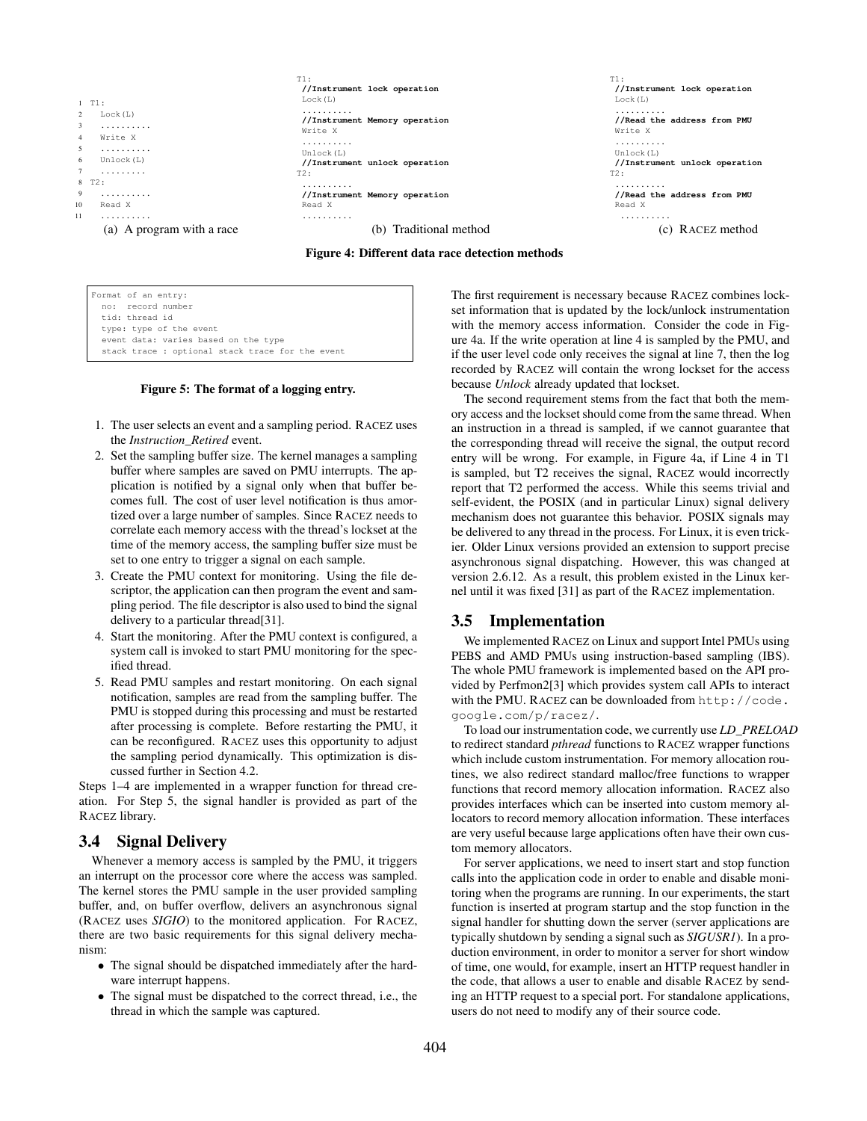```
1 T1:
2 Lock(1)3 ..........
4 Write X
5 ..........
6 Unlock(L)
7 .........
8 T2:
9 ..........
10 Read X
11 ..........
     (a) A program with a race
                                              T1:
                                               //Instrument lock operation
                                               Lock(L)
                                                 ..........
                                               //Instrument Memory operation
                                               Write X
                                               ..........
                                               Unlock(L)
                                               //Instrument unlock operation
                                              T2:
                                               ..........
//Instrument Memory operation
                                               Read X
                                               ..........
                                                              (b) Traditional method
                                                                                                                T1:
                                                                                                                 //Instrument lock operation
                                                                                                                 Lock(L)
                                                                                                                 ..........
//Read the address from PMU
                                                                                                                 Write X
                                                                                                                 ..........
                                                                                                                 Unlock(L)
                                                                                                                 //Instrument unlock operation
                                                                                                                T2:
                                                                                                                 ..........
//Read the address from PMU
                                                                                                                 Read X
                                                                                                                  ..........
                                                                                                                          (c) RACEZ method
```
Figure 4: Different data race detection methods

Format of an entry: no: record number tid: thread id type: type of the event event data: varies based on the type stack trace : optional stack trace for the event

#### Figure 5: The format of a logging entry.

- 1. The user selects an event and a sampling period. RACEZ uses the *Instruction\_Retired* event.
- 2. Set the sampling buffer size. The kernel manages a sampling buffer where samples are saved on PMU interrupts. The application is notified by a signal only when that buffer becomes full. The cost of user level notification is thus amortized over a large number of samples. Since RACEZ needs to correlate each memory access with the thread's lockset at the time of the memory access, the sampling buffer size must be set to one entry to trigger a signal on each sample.
- 3. Create the PMU context for monitoring. Using the file descriptor, the application can then program the event and sampling period. The file descriptor is also used to bind the signal delivery to a particular thread<sup>[31]</sup>.
- 4. Start the monitoring. After the PMU context is configured, a system call is invoked to start PMU monitoring for the specified thread.
- 5. Read PMU samples and restart monitoring. On each signal notification, samples are read from the sampling buffer. The PMU is stopped during this processing and must be restarted after processing is complete. Before restarting the PMU, it can be reconfigured. RACEZ uses this opportunity to adjust the sampling period dynamically. This optimization is discussed further in Section 4.2.

Steps 1–4 are implemented in a wrapper function for thread creation. For Step 5, the signal handler is provided as part of the RACEZ library.

## 3.4 Signal Delivery

Whenever a memory access is sampled by the PMU, it triggers an interrupt on the processor core where the access was sampled. The kernel stores the PMU sample in the user provided sampling buffer, and, on buffer overflow, delivers an asynchronous signal (RACEZ uses *SIGIO*) to the monitored application. For RACEZ, there are two basic requirements for this signal delivery mechanism:

- The signal should be dispatched immediately after the hardware interrupt happens.
- The signal must be dispatched to the correct thread, i.e., the thread in which the sample was captured.

The first requirement is necessary because RACEZ combines lockset information that is updated by the lock/unlock instrumentation with the memory access information. Consider the code in Figure 4a. If the write operation at line 4 is sampled by the PMU, and if the user level code only receives the signal at line 7, then the log recorded by RACEZ will contain the wrong lockset for the access because *Unlock* already updated that lockset.

The second requirement stems from the fact that both the memory access and the lockset should come from the same thread. When an instruction in a thread is sampled, if we cannot guarantee that the corresponding thread will receive the signal, the output record entry will be wrong. For example, in Figure 4a, if Line 4 in T1 is sampled, but T2 receives the signal, RACEZ would incorrectly report that T2 performed the access. While this seems trivial and self-evident, the POSIX (and in particular Linux) signal delivery mechanism does not guarantee this behavior. POSIX signals may be delivered to any thread in the process. For Linux, it is even trickier. Older Linux versions provided an extension to support precise asynchronous signal dispatching. However, this was changed at version 2.6.12. As a result, this problem existed in the Linux kernel until it was fixed [31] as part of the RACEZ implementation.

#### 3.5 Implementation

We implemented RACEZ on Linux and support Intel PMUs using PEBS and AMD PMUs using instruction-based sampling (IBS). The whole PMU framework is implemented based on the API provided by Perfmon2[3] which provides system call APIs to interact with the PMU. RACEZ can be downloaded from http://code. google.com/p/racez/.

To load our instrumentation code, we currently use *LD\_PRELOAD* to redirect standard *pthread* functions to RACEZ wrapper functions which include custom instrumentation. For memory allocation routines, we also redirect standard malloc/free functions to wrapper functions that record memory allocation information. RACEZ also provides interfaces which can be inserted into custom memory allocators to record memory allocation information. These interfaces are very useful because large applications often have their own custom memory allocators.

For server applications, we need to insert start and stop function calls into the application code in order to enable and disable monitoring when the programs are running. In our experiments, the start function is inserted at program startup and the stop function in the signal handler for shutting down the server (server applications are typically shutdown by sending a signal such as *SIGUSR1*). In a production environment, in order to monitor a server for short window of time, one would, for example, insert an HTTP request handler in the code, that allows a user to enable and disable RACEZ by sending an HTTP request to a special port. For standalone applications, users do not need to modify any of their source code.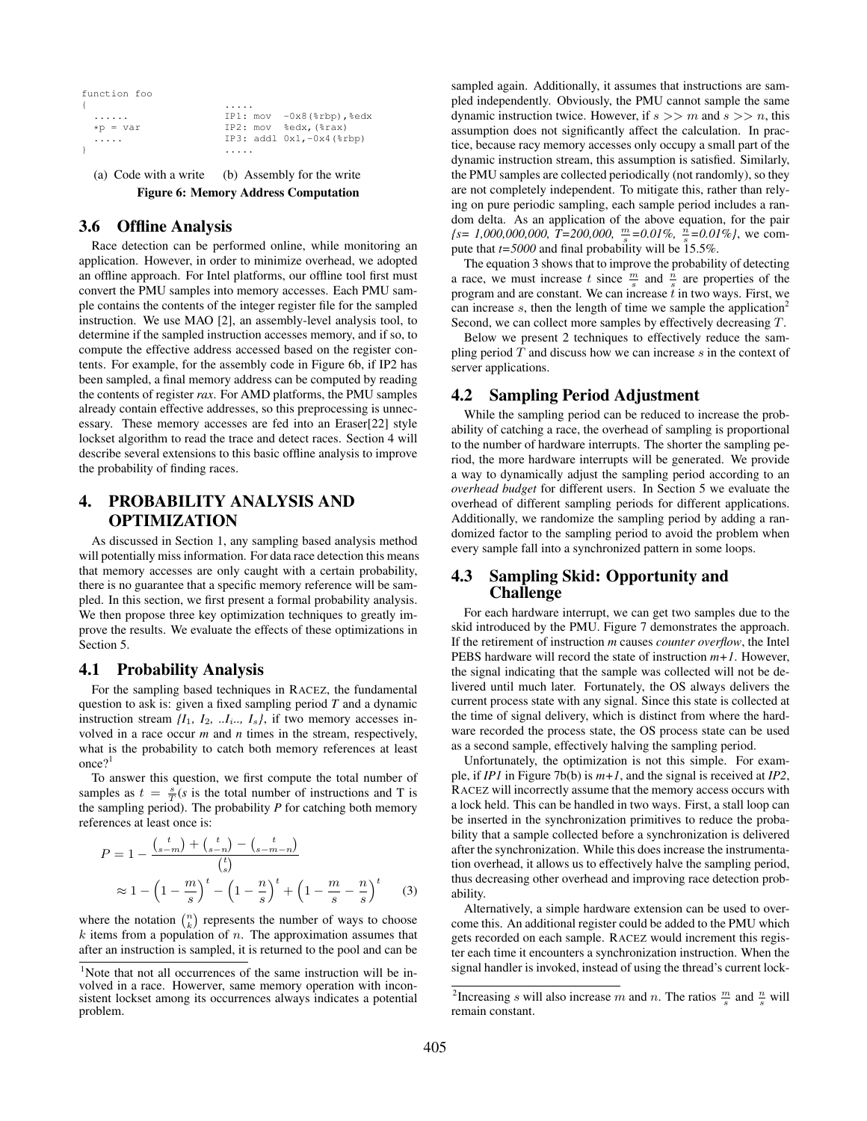function foo { ...... \*p = var ..... } ..... IP1: mov -0x8(%rbp), %edx<br>IP2: mov %edx, (%rax)  $edx,$  (%rax) IP3: addl 0x1,-0x4(%rbp) .....

(a) Code with a write (b) Assembly for the write Figure 6: Memory Address Computation

# 3.6 Offline Analysis

Race detection can be performed online, while monitoring an application. However, in order to minimize overhead, we adopted an offline approach. For Intel platforms, our offline tool first must convert the PMU samples into memory accesses. Each PMU sample contains the contents of the integer register file for the sampled instruction. We use MAO [2], an assembly-level analysis tool, to determine if the sampled instruction accesses memory, and if so, to compute the effective address accessed based on the register contents. For example, for the assembly code in Figure 6b, if IP2 has been sampled, a final memory address can be computed by reading the contents of register *rax*. For AMD platforms, the PMU samples already contain effective addresses, so this preprocessing is unnecessary. These memory accesses are fed into an Eraser[22] style lockset algorithm to read the trace and detect races. Section 4 will describe several extensions to this basic offline analysis to improve the probability of finding races.

# 4. PROBABILITY ANALYSIS AND OPTIMIZATION

As discussed in Section 1, any sampling based analysis method will potentially miss information. For data race detection this means that memory accesses are only caught with a certain probability, there is no guarantee that a specific memory reference will be sampled. In this section, we first present a formal probability analysis. We then propose three key optimization techniques to greatly improve the results. We evaluate the effects of these optimizations in Section 5.

# 4.1 Probability Analysis

For the sampling based techniques in RACEZ, the fundamental question to ask is: given a fixed sampling period *T* and a dynamic instruction stream  $\{I_1, I_2, \ldots, I_s\}$ , if two memory accesses involved in a race occur *m* and *n* times in the stream, respectively, what is the probability to catch both memory references at least once?<sup>1</sup>

To answer this question, we first compute the total number of samples as  $t = \frac{s}{T}(s)$  is the total number of instructions and T is the sampling period). The probability *P* for catching both memory references at least once is:

$$
P = 1 - \frac{\binom{t}{s-m} + \binom{t}{s-n} - \binom{t}{s-m-n}}{\binom{t}{s}}
$$

$$
\approx 1 - \left(1 - \frac{m}{s}\right)^t - \left(1 - \frac{n}{s}\right)^t + \left(1 - \frac{m}{s} - \frac{n}{s}\right)^t \tag{3}
$$

where the notation  $\binom{n}{k}$  represents the number of ways to choose  $k$  items from a population of  $n$ . The approximation assumes that after an instruction is sampled, it is returned to the pool and can be sampled again. Additionally, it assumes that instructions are sampled independently. Obviously, the PMU cannot sample the same dynamic instruction twice. However, if  $s \gg m$  and  $s \gg n$ , this assumption does not significantly affect the calculation. In practice, because racy memory accesses only occupy a small part of the dynamic instruction stream, this assumption is satisfied. Similarly, the PMU samples are collected periodically (not randomly), so they are not completely independent. To mitigate this, rather than relying on pure periodic sampling, each sample period includes a random delta. As an application of the above equation, for the pair  $\{s= 1,000,000,000, T=200,000, \frac{m}{s}=0.01\%$ ,  $\frac{n}{s}=0.01\%$ , we compute that  $t = 5000$  and final probability will be  $15.5\%$ .

The equation 3 shows that to improve the probability of detecting a race, we must increase t since  $\frac{m}{s}$  and  $\frac{n}{s}$  are properties of the program and are constant. We can increase  $\bar{t}$  in two ways. First, we can increase  $s$ , then the length of time we sample the application<sup>2</sup> Second, we can collect more samples by effectively decreasing T.

Below we present 2 techniques to effectively reduce the sampling period  $T$  and discuss how we can increase  $s$  in the context of server applications.

## 4.2 Sampling Period Adjustment

While the sampling period can be reduced to increase the probability of catching a race, the overhead of sampling is proportional to the number of hardware interrupts. The shorter the sampling period, the more hardware interrupts will be generated. We provide a way to dynamically adjust the sampling period according to an *overhead budget* for different users. In Section 5 we evaluate the overhead of different sampling periods for different applications. Additionally, we randomize the sampling period by adding a randomized factor to the sampling period to avoid the problem when every sample fall into a synchronized pattern in some loops.

## 4.3 Sampling Skid: Opportunity and Challenge

For each hardware interrupt, we can get two samples due to the skid introduced by the PMU. Figure 7 demonstrates the approach. If the retirement of instruction *m* causes *counter overflow*, the Intel PEBS hardware will record the state of instruction *m+1*. However, the signal indicating that the sample was collected will not be delivered until much later. Fortunately, the OS always delivers the current process state with any signal. Since this state is collected at the time of signal delivery, which is distinct from where the hardware recorded the process state, the OS process state can be used as a second sample, effectively halving the sampling period.

Unfortunately, the optimization is not this simple. For example, if *IP1* in Figure 7b(b) is *m+1*, and the signal is received at *IP2*, RACEZ will incorrectly assume that the memory access occurs with a lock held. This can be handled in two ways. First, a stall loop can be inserted in the synchronization primitives to reduce the probability that a sample collected before a synchronization is delivered after the synchronization. While this does increase the instrumentation overhead, it allows us to effectively halve the sampling period, thus decreasing other overhead and improving race detection probability.

Alternatively, a simple hardware extension can be used to overcome this. An additional register could be added to the PMU which gets recorded on each sample. RACEZ would increment this register each time it encounters a synchronization instruction. When the signal handler is invoked, instead of using the thread's current lock-

 $1$ Note that not all occurrences of the same instruction will be involved in a race. Howerver, same memory operation with inconsistent lockset among its occurrences always indicates a potential problem.

<sup>&</sup>lt;sup>2</sup>Increasing *s* will also increase *m* and *n*. The ratios  $\frac{m}{s}$  and  $\frac{n}{s}$  will remain constant.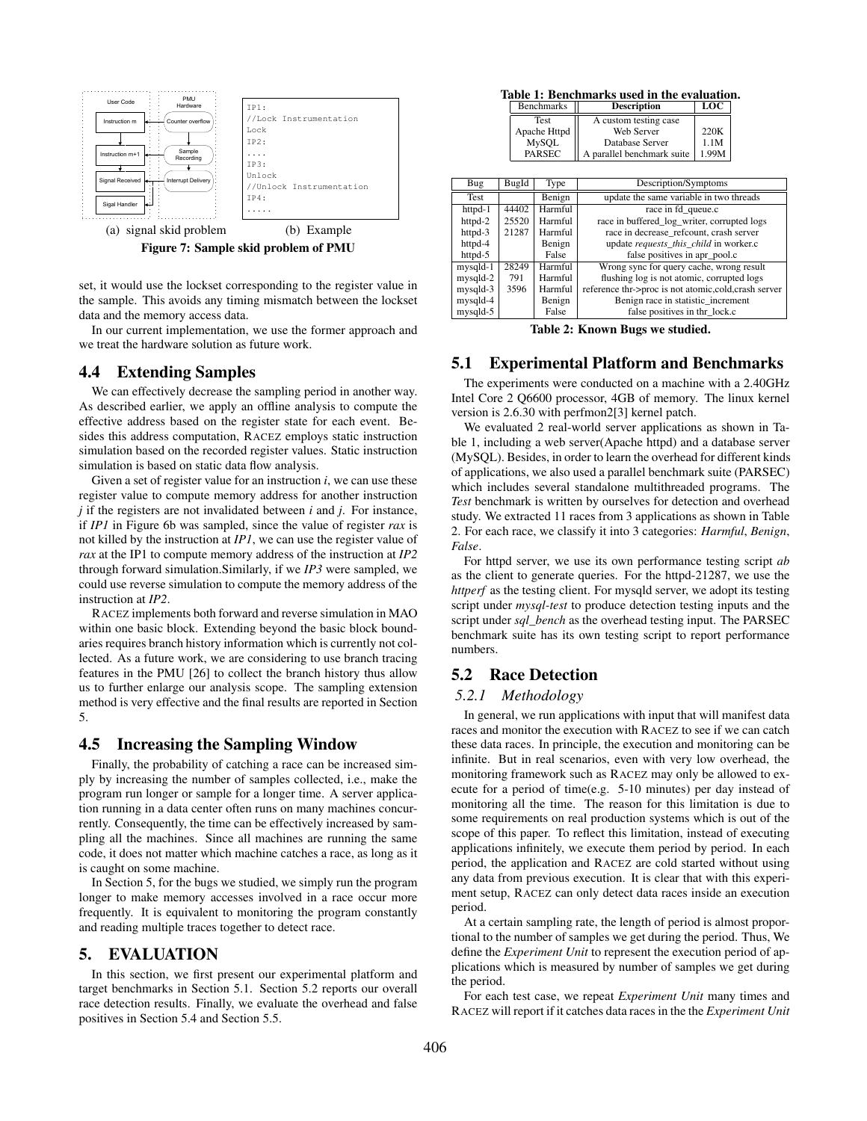

set, it would use the lockset corresponding to the register value in the sample. This avoids any timing mismatch between the lockset data and the memory access data.

In our current implementation, we use the former approach and we treat the hardware solution as future work.

## 4.4 Extending Samples

We can effectively decrease the sampling period in another way. As described earlier, we apply an offline analysis to compute the effective address based on the register state for each event. Besides this address computation, RACEZ employs static instruction simulation based on the recorded register values. Static instruction simulation is based on static data flow analysis.

Given a set of register value for an instruction *i*, we can use these register value to compute memory address for another instruction *j* if the registers are not invalidated between *i* and *j*. For instance, if *IP1* in Figure 6b was sampled, since the value of register *rax* is not killed by the instruction at *IP1*, we can use the register value of *rax* at the IP1 to compute memory address of the instruction at *IP2* through forward simulation.Similarly, if we *IP3* were sampled, we could use reverse simulation to compute the memory address of the instruction at *IP2*.

RACEZ implements both forward and reverse simulation in MAO within one basic block. Extending beyond the basic block boundaries requires branch history information which is currently not collected. As a future work, we are considering to use branch tracing features in the PMU [26] to collect the branch history thus allow us to further enlarge our analysis scope. The sampling extension method is very effective and the final results are reported in Section 5.

# 4.5 Increasing the Sampling Window

Finally, the probability of catching a race can be increased simply by increasing the number of samples collected, i.e., make the program run longer or sample for a longer time. A server application running in a data center often runs on many machines concurrently. Consequently, the time can be effectively increased by sampling all the machines. Since all machines are running the same code, it does not matter which machine catches a race, as long as it is caught on some machine.

In Section 5, for the bugs we studied, we simply run the program longer to make memory accesses involved in a race occur more frequently. It is equivalent to monitoring the program constantly and reading multiple traces together to detect race.

# 5. EVALUATION

In this section, we first present our experimental platform and target benchmarks in Section 5.1. Section 5.2 reports our overall race detection results. Finally, we evaluate the overhead and false positives in Section 5.4 and Section 5.5.

#### Table 1: Benchmarks used in the evaluation.

| <b>Benchmarks</b> | <b>Description</b>         | LOC   |
|-------------------|----------------------------|-------|
| Test              | A custom testing case      |       |
| Apache Httpd      | Web Server                 | 220K  |
| MySQL             | Database Server            | 1.1M  |
| <b>PARSEC</b>     | A parallel benchmark suite | 1.99M |

| Bug      | BugId | Type    | Description/Symptoms                                |
|----------|-------|---------|-----------------------------------------------------|
| Test     |       | Benign  | update the same variable in two threads             |
| httpd-1  | 44402 | Harmful | race in fd queue.c                                  |
| httpd-2  | 25520 | Harmful | race in buffered log writer, corrupted logs         |
| httpd-3  | 21287 | Harmful | race in decrease refcount, crash server             |
| httpd-4  |       | Benign  | update requests this child in worker.c              |
| httpd-5  |       | False   | false positives in apr_pool.c                       |
| mysqld-1 | 28249 | Harmful | Wrong sync for query cache, wrong result            |
| mysqld-2 | 791   | Harmful | flushing log is not atomic, corrupted logs          |
| mysqld-3 | 3596  | Harmful | reference thr->proc is not atomic,cold,crash server |
| mysqld-4 |       | Benign  | Benign race in statistic increment                  |
| mysqld-5 |       | False   | false positives in thr lock.c                       |

Table 2: Known Bugs we studied.

## 5.1 Experimental Platform and Benchmarks

The experiments were conducted on a machine with a 2.40GHz Intel Core 2 Q6600 processor, 4GB of memory. The linux kernel version is 2.6.30 with perfmon2[3] kernel patch.

We evaluated 2 real-world server applications as shown in Table 1, including a web server(Apache httpd) and a database server (MySQL). Besides, in order to learn the overhead for different kinds of applications, we also used a parallel benchmark suite (PARSEC) which includes several standalone multithreaded programs. The *Test* benchmark is written by ourselves for detection and overhead study. We extracted 11 races from 3 applications as shown in Table 2. For each race, we classify it into 3 categories: *Harmful*, *Benign*, *False*.

For httpd server, we use its own performance testing script *ab* as the client to generate queries. For the httpd-21287, we use the *httperf* as the testing client. For mysqld server, we adopt its testing script under *mysql-test* to produce detection testing inputs and the script under *sql\_bench* as the overhead testing input. The PARSEC benchmark suite has its own testing script to report performance numbers.

#### 5.2 Race Detection

#### *5.2.1 Methodology*

In general, we run applications with input that will manifest data races and monitor the execution with RACEZ to see if we can catch these data races. In principle, the execution and monitoring can be infinite. But in real scenarios, even with very low overhead, the monitoring framework such as RACEZ may only be allowed to execute for a period of time(e.g. 5-10 minutes) per day instead of monitoring all the time. The reason for this limitation is due to some requirements on real production systems which is out of the scope of this paper. To reflect this limitation, instead of executing applications infinitely, we execute them period by period. In each period, the application and RACEZ are cold started without using any data from previous execution. It is clear that with this experiment setup, RACEZ can only detect data races inside an execution period.

At a certain sampling rate, the length of period is almost proportional to the number of samples we get during the period. Thus, We define the *Experiment Unit* to represent the execution period of applications which is measured by number of samples we get during the period.

For each test case, we repeat *Experiment Unit* many times and RACEZ will report if it catches data races in the the *Experiment Unit*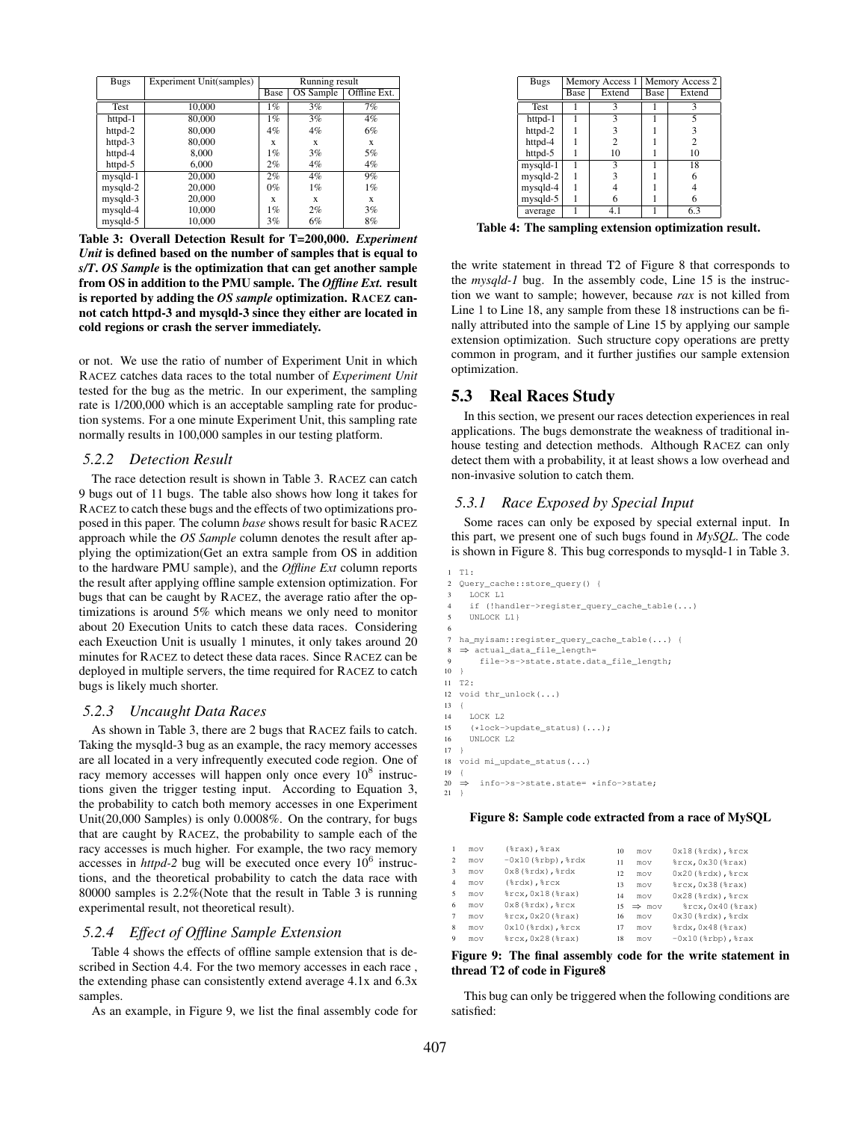| <b>Bugs</b> | Experiment Unit(samples) | Running result |           |              |
|-------------|--------------------------|----------------|-----------|--------------|
|             |                          | <b>Base</b>    | OS Sample | Offline Ext. |
| Test        | 10,000                   | $1\%$          | 3%        | 7%           |
| httpd-1     | 80,000                   | $1\%$          | 3%        | 4%           |
| httpd-2     | 80,000                   | $4\%$          | $4\%$     | 6%           |
| httpd-3     | 80,000                   | X              | X         | X            |
| httpd-4     | 8,000                    | $1\%$          | 3%        | 5%           |
| httpd-5     | 6.000                    | $2\%$          | $4\%$     | $4\%$        |
| mysqld-1    | 20,000                   | $2\%$          | $4\%$     | $9\%$        |
| mysqld-2    | 20,000                   | $0\%$          | 1%        | 1%           |
| mysqld-3    | 20,000                   | X              | X         | X            |
| mysqld-4    | 10,000                   | $1\%$          | 2%        | 3%           |
| mysqld-5    | 10.000                   | 3%             | 6%        | 8%           |

Table 3: Overall Detection Result for T=200,000. *Experiment Unit* is defined based on the number of samples that is equal to *s/T*. *OS Sample* is the optimization that can get another sample from OS in addition to the PMU sample. The *Offline Ext.* result is reported by adding the *OS sample* optimization. RACEZ cannot catch httpd-3 and mysqld-3 since they either are located in cold regions or crash the server immediately.

or not. We use the ratio of number of Experiment Unit in which RACEZ catches data races to the total number of *Experiment Unit* tested for the bug as the metric. In our experiment, the sampling rate is 1/200,000 which is an acceptable sampling rate for production systems. For a one minute Experiment Unit, this sampling rate normally results in 100,000 samples in our testing platform.

## *5.2.2 Detection Result*

The race detection result is shown in Table 3. RACEZ can catch 9 bugs out of 11 bugs. The table also shows how long it takes for RACEZ to catch these bugs and the effects of two optimizations proposed in this paper. The column *base* shows result for basic RACEZ approach while the *OS Sample* column denotes the result after applying the optimization(Get an extra sample from OS in addition to the hardware PMU sample), and the *Offline Ext* column reports the result after applying offline sample extension optimization. For bugs that can be caught by RACEZ, the average ratio after the optimizations is around 5% which means we only need to monitor about 20 Execution Units to catch these data races. Considering each Exeuction Unit is usually 1 minutes, it only takes around 20 minutes for RACEZ to detect these data races. Since RACEZ can be deployed in multiple servers, the time required for RACEZ to catch bugs is likely much shorter.

#### *5.2.3 Uncaught Data Races*

As shown in Table 3, there are 2 bugs that RACEZ fails to catch. Taking the mysqld-3 bug as an example, the racy memory accesses are all located in a very infrequently executed code region. One of racy memory accesses will happen only once every  $10^8$  instructions given the trigger testing input. According to Equation 3, the probability to catch both memory accesses in one Experiment Unit(20,000 Samples) is only 0.0008%. On the contrary, for bugs that are caught by RACEZ, the probability to sample each of the racy accesses is much higher. For example, the two racy memory accesses in *httpd-2* bug will be executed once every 10<sup>6</sup> instructions, and the theoretical probability to catch the data race with 80000 samples is 2.2%(Note that the result in Table 3 is running experimental result, not theoretical result).

#### *5.2.4 Effect of Offline Sample Extension*

Table 4 shows the effects of offline sample extension that is described in Section 4.4. For the two memory accesses in each race , the extending phase can consistently extend average 4.1x and 6.3x samples.

As an example, in Figure 9, we list the final assembly code for

| <b>Bugs</b> | Memory Access 1 |        | Memory Access 2 |                |
|-------------|-----------------|--------|-----------------|----------------|
|             | Base            | Extend | <b>Base</b>     | Extend         |
| <b>Test</b> |                 |        |                 |                |
| httpd-1     |                 |        |                 | 5              |
| httpd-2     |                 |        |                 |                |
| httpd-4     |                 |        |                 | $\overline{c}$ |
| httpd-5     |                 | 10     |                 | 10             |
| mysqld-1    |                 |        |                 | 18             |
| mysqld-2    |                 |        |                 | 6              |
| mysqld-4    |                 |        |                 |                |
| mysqld-5    |                 |        |                 |                |
| average     |                 |        |                 | 63             |

Table 4: The sampling extension optimization result.

the write statement in thread T2 of Figure 8 that corresponds to the *mysqld-1* bug. In the assembly code, Line 15 is the instruction we want to sample; however, because *rax* is not killed from Line 1 to Line 18, any sample from these 18 instructions can be finally attributed into the sample of Line 15 by applying our sample extension optimization. Such structure copy operations are pretty common in program, and it further justifies our sample extension optimization.

## 5.3 Real Races Study

In this section, we present our races detection experiences in real applications. The bugs demonstrate the weakness of traditional inhouse testing and detection methods. Although RACEZ can only detect them with a probability, it at least shows a low overhead and non-invasive solution to catch them.

#### *5.3.1 Race Exposed by Special Input*

Some races can only be exposed by special external input. In this part, we present one of such bugs found in *MySQL*. The code is shown in Figure 8. This bug corresponds to mysqld-1 in Table 3.

```
1 T1:
   2 Query_cache::store_query() {
 3 LOCK L1
       if (!handler->register_query_cache_table(...)
 5 UNLOCK L1}
 6
 7 ha_myisam::register_query_cache_table(...) {<br>8 \Rightarrow actual_data_file_length=
 8 \Rightarrow actual_data_file_length=<br>9 60<br>file->s->state_state_da
          file->s->state.state.data_file_length;
1011 T2:
12 void thr_unlock(...)
13 {
14 LOCK 1.2
15 (*lock->update_status)(...);<br>16 UNLOCK L2
      UNLOCK L2
17 }
18 void mi_update_status(...)
\begin{array}{ccc} 19 & \{ \\ 20 & \Rightarrow \end{array}info->s->state.state= *info->state;
21 }
```
#### Figure 8: Sample code extracted from a race of MySQL

| 1              | mov | $(\frac{1}{2}rax)$ , $\frac{1}{2}rax$ | 10 | mov               | $0x18$ ( $xdx$ ), $x$ cx                    |
|----------------|-----|---------------------------------------|----|-------------------|---------------------------------------------|
| $\overline{c}$ | mov | $-0x10$ (\$rbp), \$rdx                | 11 | mov               | $srcx, 0x30$ ( $束x)$                        |
| 3              | mov | $0x8$ ( $xdx$ ), $xdx$                | 12 | mov               | $0x20$ ( $x$ ), $x$ rcx                     |
| 4              | mov | $(\frac{1}{2}rdx)$ , $\frac{1}{2}rcx$ | 13 | mov               | $srcx, 0x38$ ( $rac{x}{x}$ )                |
| 5              | mov | $srcx, 0x18$ ( $束x)$                  | 14 | mov               | $0x28$ ( $x$ ), $x$ rcx                     |
| 6.             | mov | $0x8$ ( $xdx$ ), $x$                  | 15 | $\Rightarrow$ mov | $srcx, 0x40$ ( $rac$ )                      |
| 7              | mov | $srcx, 0x20$ ( $frac)$                | 16 | mov               | $0x30$ ( $xdx$ ), $xdx$                     |
| 8              | mov | $0x10$ (\$rdx), $srcx$                | 17 | mov               | $\frac{1}{2}rdx, 0x48$ ( $\frac{1}{2}rax$ ) |
| 9              | mov | $srcx, 0x28$ ( $束x)$                  | 18 | mov               | $-0x10$ (\$rbp), \$rax                      |
|                |     |                                       |    |                   |                                             |

#### Figure 9: The final assembly code for the write statement in thread T2 of code in Figure8

This bug can only be triggered when the following conditions are satisfied: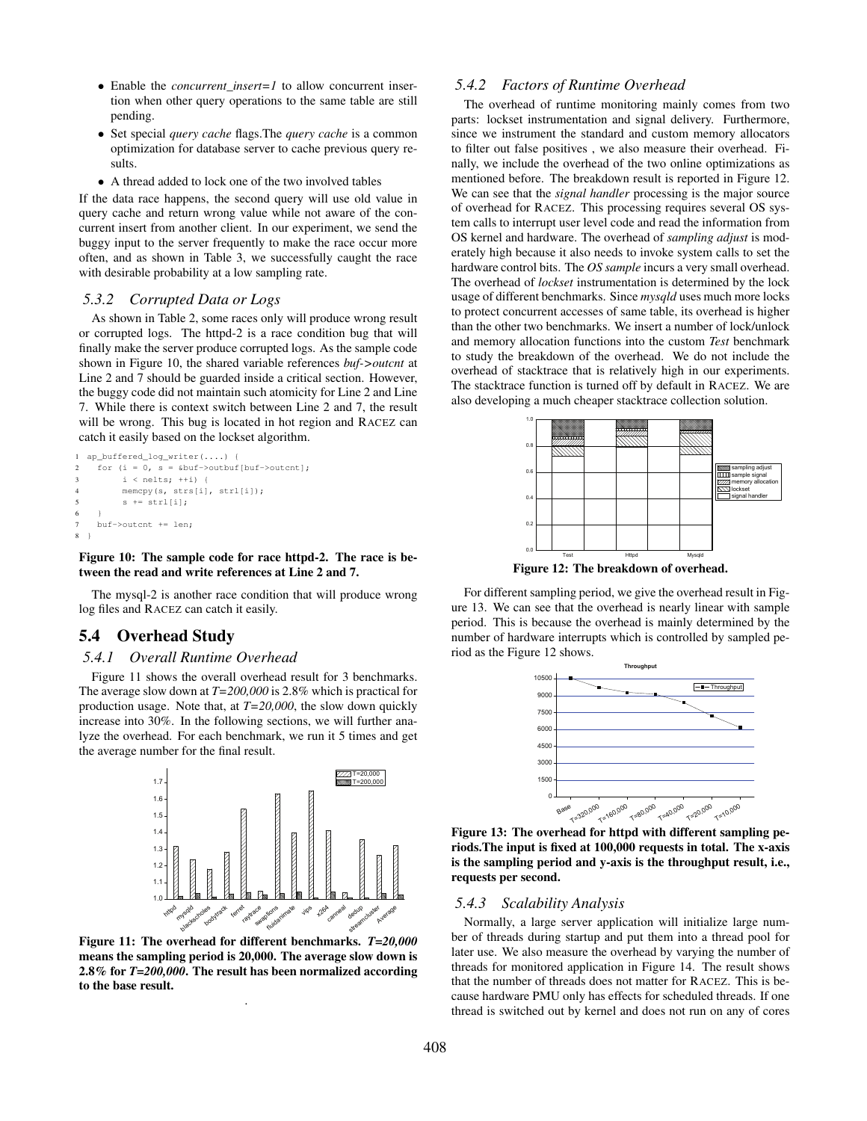- Enable the *concurrent\_insert=1* to allow concurrent insertion when other query operations to the same table are still pending.
- Set special *query cache* flags.The *query cache* is a common optimization for database server to cache previous query results.
- A thread added to lock one of the two involved tables

If the data race happens, the second query will use old value in query cache and return wrong value while not aware of the concurrent insert from another client. In our experiment, we send the buggy input to the server frequently to make the race occur more often, and as shown in Table 3, we successfully caught the race with desirable probability at a low sampling rate.

#### *5.3.2 Corrupted Data or Logs*

As shown in Table 2, some races only will produce wrong result or corrupted logs. The httpd-2 is a race condition bug that will finally make the server produce corrupted logs. As the sample code shown in Figure 10, the shared variable references *buf->outcnt* at Line 2 and 7 should be guarded inside a critical section. However, the buggy code did not maintain such atomicity for Line 2 and Line 7. While there is context switch between Line 2 and 7, the result will be wrong. This bug is located in hot region and RACEZ can catch it easily based on the lockset algorithm.

```
1 ap_buffered_log_writer(....) {
    for (i = 0, s = &buf->outbuf[buf->outcnt];
         i < nelts; ++i) {
         memcpy(s, strs[i], strl[i]);
         s += strl[i];
6 }
7 buf->outcnt += len;
\mathbf{Q}
```
#### Figure 10: The sample code for race httpd-2. The race is between the read and write references at Line 2 and 7.

The mysql-2 is another race condition that will produce wrong log files and RACEZ can catch it easily.

## 5.4 Overhead Study

#### *5.4.1 Overall Runtime Overhead*

Figure 11 shows the overall overhead result for 3 benchmarks. The average slow down at *T=200,000* is 2.8% which is practical for production usage. Note that, at *T=20,000*, the slow down quickly increase into 30%. In the following sections, we will further analyze the overhead. For each benchmark, we run it 5 times and get the average number for the final result.



Figure 11: The overhead for different benchmarks. *T=20,000* means the sampling period is 20,000. The average slow down is 2.8% for *T=200,000*. The result has been normalized according to the base result.

.

#### *5.4.2 Factors of Runtime Overhead*

The overhead of runtime monitoring mainly comes from two parts: lockset instrumentation and signal delivery. Furthermore, since we instrument the standard and custom memory allocators to filter out false positives , we also measure their overhead. Finally, we include the overhead of the two online optimizations as mentioned before. The breakdown result is reported in Figure 12. We can see that the *signal handler* processing is the major source of overhead for RACEZ. This processing requires several OS system calls to interrupt user level code and read the information from OS kernel and hardware. The overhead of *sampling adjust* is moderately high because it also needs to invoke system calls to set the hardware control bits. The *OS sample* incurs a very small overhead. The overhead of *lockset* instrumentation is determined by the lock usage of different benchmarks. Since *mysqld* uses much more locks to protect concurrent accesses of same table, its overhead is higher than the other two benchmarks. We insert a number of lock/unlock and memory allocation functions into the custom *Test* benchmark to study the breakdown of the overhead. We do not include the overhead of stacktrace that is relatively high in our experiments. The stacktrace function is turned off by default in RACEZ. We are also developing a much cheaper stacktrace collection solution.



Figure 12: The breakdown of overhead.

For different sampling period, we give the overhead result in Figure 13. We can see that the overhead is nearly linear with sample period. This is because the overhead is mainly determined by the number of hardware interrupts which is controlled by sampled period as the Figure 12 shows.



Figure 13: The overhead for httpd with different sampling periods.The input is fixed at 100,000 requests in total. The x-axis is the sampling period and y-axis is the throughput result, i.e., requests per second.

#### *5.4.3 Scalability Analysis*

Normally, a large server application will initialize large number of threads during startup and put them into a thread pool for later use. We also measure the overhead by varying the number of threads for monitored application in Figure 14. The result shows that the number of threads does not matter for RACEZ. This is because hardware PMU only has effects for scheduled threads. If one thread is switched out by kernel and does not run on any of cores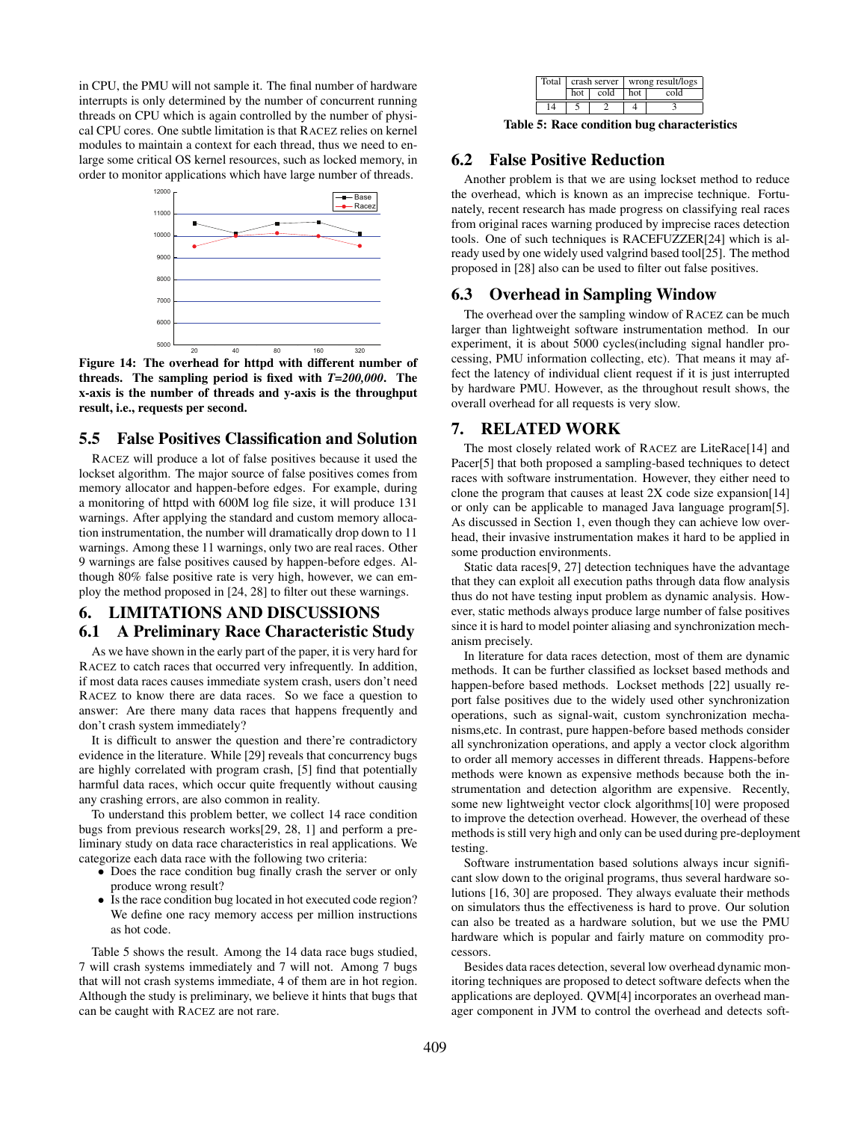in CPU, the PMU will not sample it. The final number of hardware interrupts is only determined by the number of concurrent running threads on CPU which is again controlled by the number of physical CPU cores. One subtle limitation is that RACEZ relies on kernel modules to maintain a context for each thread, thus we need to enlarge some critical OS kernel resources, such as locked memory, in order to monitor applications which have large number of threads.



Figure 14: The overhead for httpd with different number of threads. The sampling period is fixed with *T=200,000*. The x-axis is the number of threads and y-axis is the throughput result, i.e., requests per second.

## 5.5 False Positives Classification and Solution

RACEZ will produce a lot of false positives because it used the lockset algorithm. The major source of false positives comes from memory allocator and happen-before edges. For example, during a monitoring of httpd with 600M log file size, it will produce 131 warnings. After applying the standard and custom memory allocation instrumentation, the number will dramatically drop down to 11 warnings. Among these 11 warnings, only two are real races. Other 9 warnings are false positives caused by happen-before edges. Although 80% false positive rate is very high, however, we can employ the method proposed in [24, 28] to filter out these warnings.

# 6. LIMITATIONS AND DISCUSSIONS 6.1 A Preliminary Race Characteristic Study

As we have shown in the early part of the paper, it is very hard for RACEZ to catch races that occurred very infrequently. In addition, if most data races causes immediate system crash, users don't need RACEZ to know there are data races. So we face a question to answer: Are there many data races that happens frequently and don't crash system immediately?

It is difficult to answer the question and there're contradictory evidence in the literature. While [29] reveals that concurrency bugs are highly correlated with program crash, [5] find that potentially harmful data races, which occur quite frequently without causing any crashing errors, are also common in reality.

To understand this problem better, we collect 14 race condition bugs from previous research works[29, 28, 1] and perform a preliminary study on data race characteristics in real applications. We categorize each data race with the following two criteria:

- Does the race condition bug finally crash the server or only produce wrong result?
- Is the race condition bug located in hot executed code region? We define one racy memory access per million instructions as hot code.

Table 5 shows the result. Among the 14 data race bugs studied, 7 will crash systems immediately and 7 will not. Among 7 bugs that will not crash systems immediate, 4 of them are in hot region. Although the study is preliminary, we believe it hints that bugs that can be caught with RACEZ are not rare.

| Total |  |      | crash server   wrong result/logs |  |
|-------|--|------|----------------------------------|--|
|       |  | cold |                                  |  |
|       |  |      |                                  |  |

Table 5: Race condition bug characteristics

# 6.2 False Positive Reduction

Another problem is that we are using lockset method to reduce the overhead, which is known as an imprecise technique. Fortunately, recent research has made progress on classifying real races from original races warning produced by imprecise races detection tools. One of such techniques is RACEFUZZER[24] which is already used by one widely used valgrind based tool[25]. The method proposed in [28] also can be used to filter out false positives.

## 6.3 Overhead in Sampling Window

The overhead over the sampling window of RACEZ can be much larger than lightweight software instrumentation method. In our experiment, it is about 5000 cycles(including signal handler processing, PMU information collecting, etc). That means it may affect the latency of individual client request if it is just interrupted by hardware PMU. However, as the throughout result shows, the overall overhead for all requests is very slow.

## 7. RELATED WORK

The most closely related work of RACEZ are LiteRace[14] and Pacer<sup>[5]</sup> that both proposed a sampling-based techniques to detect races with software instrumentation. However, they either need to clone the program that causes at least  $2X$  code size expansion [14] or only can be applicable to managed Java language program[5]. As discussed in Section 1, even though they can achieve low overhead, their invasive instrumentation makes it hard to be applied in some production environments.

Static data races[9, 27] detection techniques have the advantage that they can exploit all execution paths through data flow analysis thus do not have testing input problem as dynamic analysis. However, static methods always produce large number of false positives since it is hard to model pointer aliasing and synchronization mechanism precisely.

In literature for data races detection, most of them are dynamic methods. It can be further classified as lockset based methods and happen-before based methods. Lockset methods [22] usually report false positives due to the widely used other synchronization operations, such as signal-wait, custom synchronization mechanisms,etc. In contrast, pure happen-before based methods consider all synchronization operations, and apply a vector clock algorithm to order all memory accesses in different threads. Happens-before methods were known as expensive methods because both the instrumentation and detection algorithm are expensive. Recently, some new lightweight vector clock algorithms[10] were proposed to improve the detection overhead. However, the overhead of these methods is still very high and only can be used during pre-deployment testing.

Software instrumentation based solutions always incur significant slow down to the original programs, thus several hardware solutions [16, 30] are proposed. They always evaluate their methods on simulators thus the effectiveness is hard to prove. Our solution can also be treated as a hardware solution, but we use the PMU hardware which is popular and fairly mature on commodity processors.

Besides data races detection, several low overhead dynamic monitoring techniques are proposed to detect software defects when the applications are deployed. QVM[4] incorporates an overhead manager component in JVM to control the overhead and detects soft